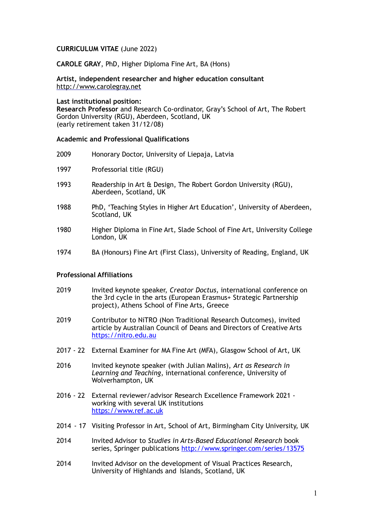## **CURRICULUM VITAE** (June 2022)

**CAROLE GRAY**, PhD, Higher Diploma Fine Art, BA (Hons)

**Artist, independent researcher and higher education consultant** <http://www.carolegray.net>

#### **Last institutional position:**

**Research Professor** and Research Co-ordinator, Gray's School of Art, The Robert Gordon University (RGU), Aberdeen, Scotland, UK (early retirement taken 31/12/08)

## **Academic and Professional Qualifications**

- 2009 Honorary Doctor, University of Liepaja, Latvia
- 1997 Professorial title (RGU)
- 1993 Readership in Art & Design, The Robert Gordon University (RGU), Aberdeen, Scotland, UK
- 1988 PhD, 'Teaching Styles in Higher Art Education', University of Aberdeen, Scotland, UK
- 1980 Higher Diploma in Fine Art, Slade School of Fine Art, University College London, UK
- 1974 BA (Honours) Fine Art (First Class), University of Reading, England, UK

## **Professional Affiliations**

- 2019 Invited keynote speaker, *Creator Doctus,* international conference on the 3rd cycle in the arts (European Erasmus+ Strategic Partnership project), Athens School of Fine Arts, Greece
- 2019 Contributor to NiTRO (Non Traditional Research Outcomes), invited article by Australian Council of Deans and Directors of Creative Arts [https://nitro.edu.au](https://nitro.edu.au/)
- 2017 22 External Examiner for MA Fine Art (MFA), Glasgow School of Art, UK
- 2016 Invited keynote speaker (with Julian Malins), *Art as Research in Learning and Teaching*, international conference, University of Wolverhampton, UK
- 2016 22 External reviewer/advisor Research Excellence Framework 2021 working with several UK institutions <https://www.ref.ac.uk>
- 2014 17 Visiting Professor in Art, School of Art, Birmingham City University, UK
- 2014 Invited Advisor to *Studies in Arts-Based Educational Research* book series, Springer publications <http://www.springer.com/series/13575>
- 2014 Invited Advisor on the development of Visual Practices Research, University of Highlands and Islands, Scotland, UK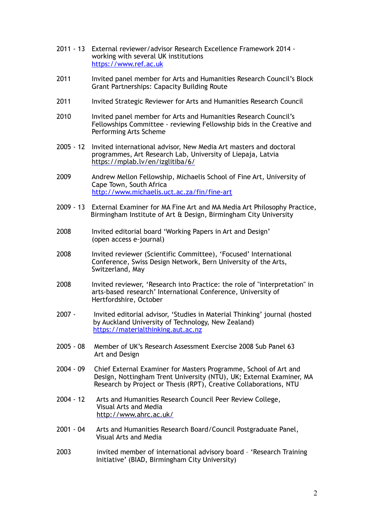- 2011 13 External reviewer/advisor Research Excellence Framework 2014 working with several UK institutions <https://www.ref.ac.uk>
- 2011 Invited panel member for Arts and Humanities Research Council's Block Grant Partnerships: Capacity Building Route
- 2011 Invited Strategic Reviewer for Arts and Humanities Research Council
- 2010 Invited panel member for Arts and Humanities Research Council's Fellowships Committee - reviewing Fellowship bids in the Creative and Performing Arts Scheme
- 2005 12 Invited international advisor, New Media Art masters and doctoral programmes, Art Research Lab, University of Liepaja, Latvia [https://mplab.lv/en/izglitiba/6/](http://mplab.lv/en/laboratorija/)
- 2009 Andrew Mellon Fellowship, Michaelis School of Fine Art, University of Cape Town, South Africa <http://www.michaelis.uct.ac.za/fin/fine-art>
- 2009 13 External Examiner for MA Fine Art and MA Media Art Philosophy Practice, Birmingham Institute of Art & Design, Birmingham City University
- 2008 Invited editorial board 'Working Papers in Art and Design' (open access e-journal)
- 2008 Invited reviewer (Scientific Committee), 'Focused' International Conference, Swiss Design Network, Bern University of the Arts, Switzerland, May
- 2008 Invited reviewer, 'Research into Practice: the role of "interpretation" in arts-based research' International Conference, University of Hertfordshire, October
- 2007 Invited editorial advisor, 'Studies in Material Thinking' journal (hosted by Auckland University of Technology, New Zealand) <https://materialthinking.aut.ac.nz>
- 2005 08 Member of UK's Research Assessment Exercise 2008 Sub Panel 63 Art and Design
- 2004 09 Chief External Examiner for Masters Programme, School of Art and Design, Nottingham Trent University (NTU), UK; External Examiner, MA Research by Project or Thesis (RPT), Creative Collaborations, NTU
- 2004 12 Arts and Humanities Research Council Peer Review College, Visual Arts and Media <http://www.ahrc.ac.uk>/
- 2001 04 Arts and Humanities Research Board/Council Postgraduate Panel, Visual Arts and Media
- 2003 invited member of international advisory board 'Research Training Initiative' (BIAD, Birmingham City University)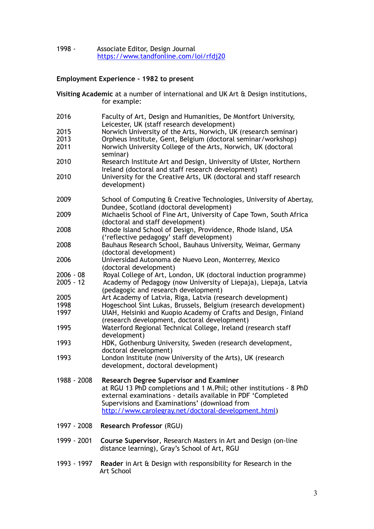## 1998 - Associate Editor, Design Journal <https://www.tandfonline.com/loi/rfdj20>

# **Employment Experience - 1982 to present**

for example: 2016 Faculty of Art, Design and Humanities, De Montfort University, Leicester, UK (staff research development) 2015 Norwich University of the Arts, Norwich, UK (research seminar) 2013 Orpheus Institute, Gent, Belgium (doctoral seminar/workshop) 2011 Norwich University College of the Arts, Norwich, UK (doctoral seminar) 2010 Research Institute Art and Design, University of Ulster, Northern Ireland (doctoral and staff research development) 2010 University for the Creative Arts, UK (doctoral and staff research development) 2009 School of Computing & Creative Technologies, University of Abertay, Dundee, Scotland (doctoral development) 2009 Michaelis School of Fine Art, University of Cape Town, South Africa (doctoral and staff development) 2008 Rhode Island School of Design, Providence, Rhode Island, USA ('reflective pedagogy' staff development) 2008 Bauhaus Research School, Bauhaus University, Weimar, Germany (doctoral development) 2006 Universidad Autonoma de Nuevo Leon, Monterrey, Mexico (doctoral development) 2006 - 08 Royal College of Art, London, UK (doctoral induction programme) 2005 - 12 Academy of Pedagogy (now University of Liepaja), Liepaja, Latvia (pedagogic and research development) 2005 Art Academy of Latvia, Riga, Latvia (research development) 1998 Hogeschool Sint Lukas, Brussels, Belgium (research development)<br>1997 UIAH, Helsinki and Kuopio Academy of Crafts and Design, Finland UIAH, Helsinki and Kuopio Academy of Crafts and Design, Finland (research development, doctoral development) 1995 Waterford Regional Technical College, Ireland (research staff development) 1993 HDK, Gothenburg University, Sweden (research development, doctoral development) 1993 London Institute (now University of the Arts), UK (research development, doctoral development) 1988 - 2008 **Research Degree Supervisor and Examiner**  at RGU 13 PhD completions and 1 M.Phil; other institutions - 8 PhD external examinations - details available in PDF 'Completed Supervisions and Examinations' (download from <http://www.carolegray.net/doctoral-development.html>) 1997 - 2008 **Research Professor** (RGU) 1999 - 2001 **Course Supervisor**, Research Masters in Art and Design (on-line distance learning), Gray's School of Art, RGU

**Visiting Academic** at a number of international and UK Art & Design institutions,

1993 - 1997 **Reader** in Art & Design with responsibility for Research in the Art School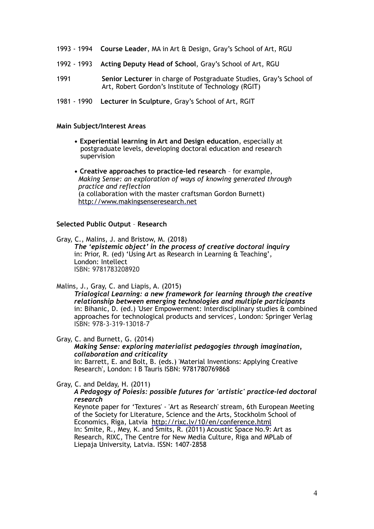- 1993 1994 **Course Leader**, MA in Art & Design, Gray's School of Art, RGU
- 1992 1993 **Acting Deputy Head of School**, Gray's School of Art, RGU
- 1991 **Senior Lecturer** in charge of Postgraduate Studies, Gray's School of Art, Robert Gordon's Institute of Technology (RGIT)
- 1981 1990 **Lecturer in Sculpture**, Gray's School of Art, RGIT

#### **Main Subject/Interest Areas**

- **Experiential learning in Art and Design education**, especially at postgraduate levels, developing doctoral education and research supervision
- **Creative approaches to practice-led research** for example, *Making Sense: an exploration of ways of knowing generated through practice and reflection* (a collaboration with the master craftsman Gordon Burnett) <http://www.makingsenseresearch.net>

### **Selected Public Output** – **Research**

Gray, C., Malins, J. and Bristow, M. (2018) *The 'epistemic object' in the process of creative doctoral inquiry*  in: Prior, R. (ed) 'Using Art as Research in Learning & Teaching', London: Intellect ISBN: 9781783208920

Malins, J., Gray, C. and Liapis, A. (2015)

*Trialogical Learning: a new framework for learning through the creative relationship between emerging technologies and multiple participants* in: Bihanic, D. (ed.) 'User Empowerment: Interdisciplinary studies & combined approaches for technological products and services', London: Springer Verlag ISBN: 978-3-319-13018-7

Gray, C. and Burnett, G. (2014) *Making Sense: exploring materialist pedagogies through imagination, collaboration and criticality* in: Barrett, E. and Bolt, B. (eds.) 'Material Inventions: Applying Creative Research', London: I B Tauris ISBN: 9781780769868

Gray, C. and Delday, H. (2011)

*A Pedagogy of Poiesis: possible futures for 'artistic' practice-led doctoral research*

Keynote paper for 'Textures' - 'Art as Research' stream, 6th European Meeting of the Society for Literature, Science and the Arts, Stockholm School of Economics, Riga, Latvia <http://rixc.lv/10/en/conference.html> In: Smite, R., Mey, K. and Smits, R. (2011) Acoustic Space No.9: Art as Research, RIXC, The Centre for New Media Culture, Riga and MPLab of Liepaja University, Latvia. ISSN: 1407-2858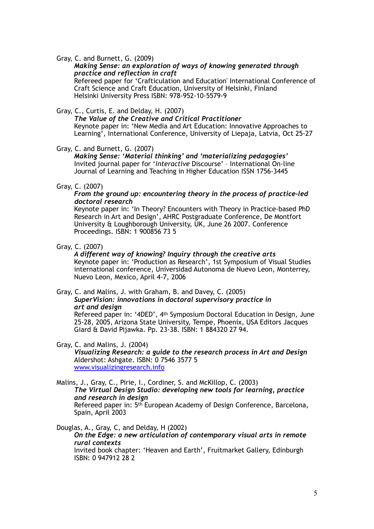Gray, C. and Burnett, G. (2009)

## *Making Sense: an exploration of ways of knowing generated through practice and reflection in craft*

Refereed paper for 'Crafticulation and Education' International Conference of Craft Science and Craft Education, University of Helsinki, Finland Helsinki University Press ISBN: 978-952-10-5579-9

Gray, C., Curtis, E. and Delday, H. (2007)

*The Value of the Creative and Critical Practitioner*  Keynote paper in: 'New Media and Art Education: Innovative Approaches to Learning', International Conference, University of Liepaja, Latvia, Oct 25-27

Gray, C. and Burnett, G. (2007)

*Making Sense: 'Material thinking' and 'materializing pedagogies'* Invited journal paper for '*interactive* Discourse' – International On-line Journal of Learning and Teaching in Higher Education ISSN 1756-3445

Gray, C. (2007)

### *From the ground up: encountering theory in the process of practice-led doctoral research*

Keynote paper in: 'In Theory? Encounters with Theory in Practice-based PhD Research in Art and Design', AHRC Postgraduate Conference, De Montfort University & Loughborough University, UK, June 26 2007. Conference Proceedings. ISBN: 1 900856 73 5

Gray, C. (2007)

*A different way of knowing? Inquiry through the creative arts* Keynote paper in: 'Production as Research', 1st Symposium of Visual Studies international conference, Universidad Autonoma de Nuevo Leon, Monterrey, Nuevo Leon, Mexico, April 4-7, 2006

#### Gray, C. and Malins, J. with Graham, B. and Davey, C. (2005) *SuperVision: innovations in doctoral supervisory practice in*

*art and design* 

Refereed paper in: '4DED', 4th Symposium Doctoral Education in Design, June 25-28, 2005, Arizona State University, Tempe, Phoenix, USA Editors Jacques Giard & David Pijawka. Pp. 23-38. ISBN: 1 884320 27 94.

# Gray, C. and Malins, J. (2004)

*Visualizing Research: a guide to the research process in Art and Design*  Aldershot: Ashgate. ISBN: 0 7546 3577 5 [www.visualizingresearch.info](http://www.visualizingresearch.info/?Visualizing+Research+web+site=Visualizing+Research+web+site)

Malins, J., Gray, C., Pirie, I., Cordiner, S. and McKillop, C. (2003) *The Virtual Design Studio: developing new tools for learning, practice and research in design* Refereed paper in: 5<sup>th</sup> European Academy of Design Conference, Barcelona, Spain, April 2003

Douglas, A., Gray, C, and Delday, H (2002) *On the Edge: a new articulation of contemporary visual arts in remote rural contexts*  Invited book chapter: 'Heaven and Earth', Fruitmarket Gallery, Edinburgh ISBN: 0 947912 28 2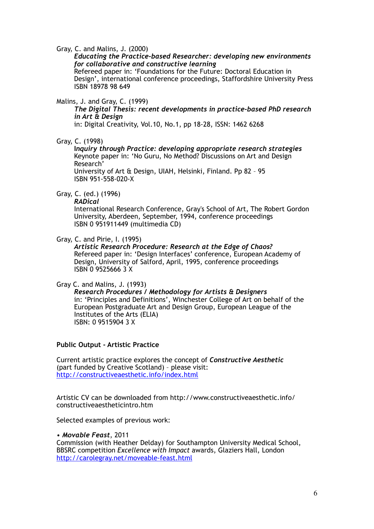Gray, C. and Malins, J. (2000)

## *Educating the Practice-based Researcher: developing new environments for collaborative and constructive learning*

Refereed paper in: 'Foundations for the Future: Doctoral Education in Design', international conference proceedings, Staffordshire University Press ISBN 18978 98 649

### Malins, J. and Gray, C. (1999)

*The Digital Thesis: recent developments in practice-based PhD research in Art & Design*

in: Digital Creativity, Vol.10, No.1, pp 18-28, ISSN: 1462 6268

Gray, C. (1998)

**I***nquiry through Practice: developing appropriate research strategies* Keynote paper in: 'No Guru, No Method? Discussions on Art and Design Research'

University of Art & Design, UIAH, Helsinki, Finland. Pp 82 – 95 ISBN 951-558-020-X

# Gray, C. (ed.) (1996)

*RADical* 

International Research Conference, Gray's School of Art, The Robert Gordon University, Aberdeen, September, 1994, conference proceedings ISBN 0 951911449 (multimedia CD)

#### Gray, C. and Pirie, I. (1995)

*Artistic Research Procedure: Research at the Edge of Chaos?* Refereed paper in: 'Design Interfaces' conference, European Academy of Design, University of Salford, April, 1995, conference proceedings ISBN 0 9525666 3 X

Gray C. and Malins, J. (1993)

*Research Procedures / Methodology for Artists & Designers*  in: 'Principles and Definitions', Winchester College of Art on behalf of the European Postgraduate Art and Design Group, European League of the Institutes of the Arts (ELIA) ISBN: 0 9515904 3 X

**Public Output - Artistic Practice**

Current artistic practice explores the concept of *Constructive Aesthetic*  (part funded by Creative Scotland) – please visit: <http://constructiveaesthetic.info/index.html>

Artistic CV can be downloaded from http://www.constructiveaesthetic.info/ constructiveaestheticintro.htm

Selected examples of previous work:

#### *• Movable Feast*, 2011

Commission (with Heather Delday) for Southampton University Medical School, BBSRC competition *Excellence with Impact* awards, Glaziers Hall, London <http://carolegray.net/moveable-feast.html>